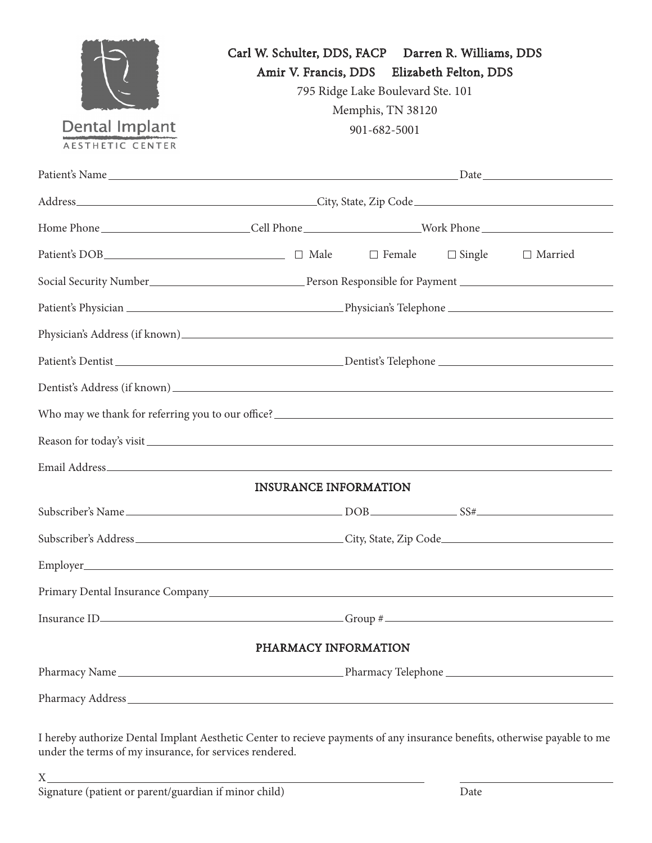| <b>Dental Implant</b><br><b>AESTHETIC CENTER</b>              | Carl W. Schulter, DDS, FACP Darren R. Williams, DDS<br>Amir V. Francis, DDS Elizabeth Felton, DDS<br>795 Ridge Lake Boulevard Ste. 101<br>Memphis, TN 38120<br>901-682-5001 |  |  |  |  |  |
|---------------------------------------------------------------|-----------------------------------------------------------------------------------------------------------------------------------------------------------------------------|--|--|--|--|--|
|                                                               |                                                                                                                                                                             |  |  |  |  |  |
|                                                               |                                                                                                                                                                             |  |  |  |  |  |
|                                                               |                                                                                                                                                                             |  |  |  |  |  |
|                                                               |                                                                                                                                                                             |  |  |  |  |  |
|                                                               |                                                                                                                                                                             |  |  |  |  |  |
|                                                               |                                                                                                                                                                             |  |  |  |  |  |
|                                                               |                                                                                                                                                                             |  |  |  |  |  |
|                                                               |                                                                                                                                                                             |  |  |  |  |  |
|                                                               |                                                                                                                                                                             |  |  |  |  |  |
| Who may we thank for referring you to our office?<br><u> </u> |                                                                                                                                                                             |  |  |  |  |  |
|                                                               |                                                                                                                                                                             |  |  |  |  |  |
|                                                               |                                                                                                                                                                             |  |  |  |  |  |
|                                                               | <b>INSURANCE INFORMATION</b>                                                                                                                                                |  |  |  |  |  |
|                                                               |                                                                                                                                                                             |  |  |  |  |  |
|                                                               |                                                                                                                                                                             |  |  |  |  |  |
|                                                               |                                                                                                                                                                             |  |  |  |  |  |
|                                                               |                                                                                                                                                                             |  |  |  |  |  |
|                                                               |                                                                                                                                                                             |  |  |  |  |  |
|                                                               | PHARMACY INFORMATION                                                                                                                                                        |  |  |  |  |  |
|                                                               |                                                                                                                                                                             |  |  |  |  |  |
|                                                               |                                                                                                                                                                             |  |  |  |  |  |
|                                                               |                                                                                                                                                                             |  |  |  |  |  |

I hereby authorize Dental Implant Aesthetic Center to recieve payments of any insurance benefits, otherwise payable to me under the terms of my insurance, for services rendered.